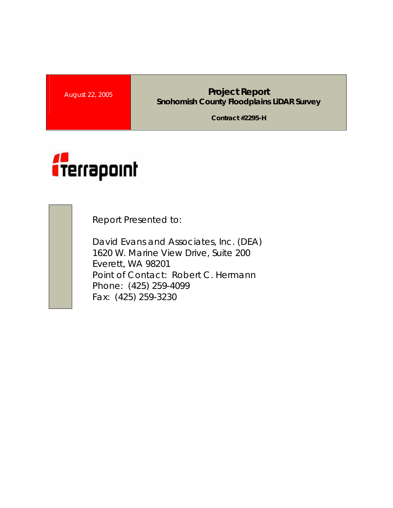#### **August 22, 2005 <b>Project Report Project Report Snohomish County Floodplains LiDAR Survey**

**Contract #2295-H** 



Report Presented to:

David Evans and Associates, Inc. (DEA) 1620 W. Marine View Drive, Suite 200 Everett, WA 98201 Point of Contact: Robert C. Hermann Phone: (425) 259-4099 Fax: (425) 259-3230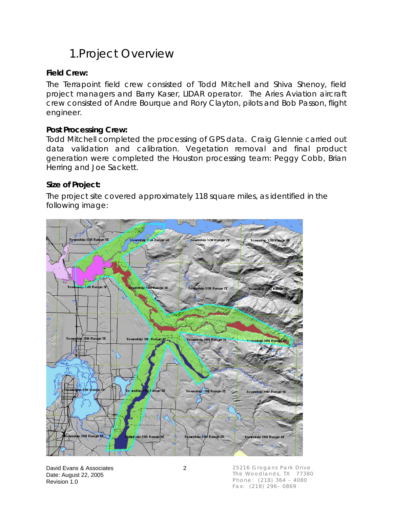## 1.Project Overview

#### **Field Crew:**

The Terrapoint field crew consisted of Todd Mitchell and Shiva Shenoy, field project managers and Barry Kaser, LIDAR operator. The Aries Aviation aircraft crew consisted of Andre Bourque and Rory Clayton, pilots and Bob Passon, flight engineer.

#### **Post Processing Crew:**

Todd Mitchell completed the processing of GPS data. Craig Glennie carried out data validation and calibration. Vegetation removal and final product generation were completed the Houston processing team: Peggy Cobb, Brian Herring and Joe Sackett.

#### **Size of Project:**

The project site covered approximately 118 square miles, as identified in the following image:



David Evans & Associates 2 Date: August 22, 2005 Revision 1.0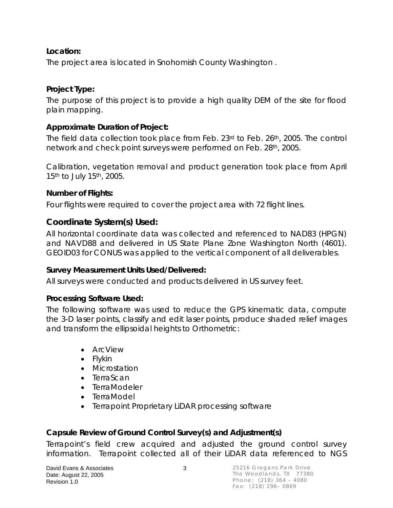#### **Location:**

The project area is located in Snohomish County Washington .

### **Project Type:**

The purpose of this project is to provide a high quality DEM of the site for flood plain mapping.

### **Approximate Duration of Project:**

The field data collection took place from Feb. 23rd to Feb. 26th, 2005. The control network and check point surveys were performed on Feb. 28th, 2005.

Calibration, vegetation removal and product generation took place from April 15<sup>th</sup> to July 15<sup>th</sup>, 2005.

### **Number of Flights:**

Four flights were required to cover the project area with 72 flight lines.

### **Coordinate System(s) Used:**

All horizontal coordinate data was collected and referenced to NAD83 (HPGN) and NAVD88 and delivered in US State Plane Zone Washington North (4601). GEOID03 for CONUS was applied to the vertical component of all deliverables.

#### **Survey Measurement Units Used/Delivered:**

All surveys were conducted and products delivered in US survey feet.

#### **Processing Software Used:**

The following software was used to reduce the GPS kinematic data, compute the 3-D laser points, classify and edit laser points, produce shaded relief images and transform the ellipsoidal heights to Orthometric:

- ArcView
- Flykin
- Microstation
- TerraScan
- TerraModeler
- TerraModel
- Terrapoint Proprietary LiDAR processing software

### **Capsule Review of Ground Control Survey(s) and Adjustment(s)**

Terrapoint's field crew acquired and adjusted the ground control survey information. Terrapoint collected all of their LiDAR data referenced to NGS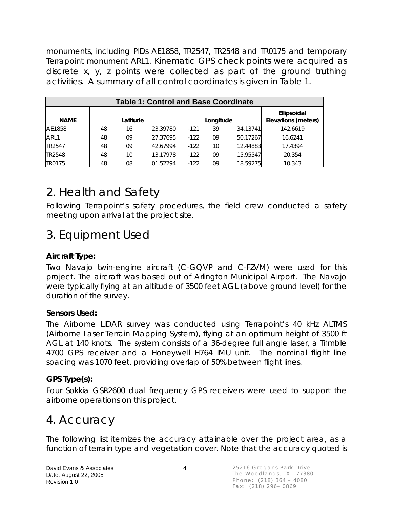monuments, including PIDs AE1858, TR2547, TR2548 and TR0175 and temporary Terrapoint monument ARL1. Kinematic GPS check points were acquired as discrete x, y, z points were collected as part of the ground truthing activities. A summary of all control coordinates is given in Table 1.

| <b>Table 1: Control and Base Coordinate</b> |          |    |          |           |    |          |                                    |  |
|---------------------------------------------|----------|----|----------|-----------|----|----------|------------------------------------|--|
| <b>NAME</b>                                 | Latitude |    |          | Longitude |    |          | Ellipsoidal<br>Elevations (meters) |  |
| AE1858                                      | 48       | 16 | 23.39780 | $-121$    | 39 | 34.13741 | 142.6619                           |  |
| ARL1                                        | 48       | 09 | 27.37695 | $-122$    | 09 | 50.17267 | 16.6241                            |  |
| TR2547                                      | 48       | 09 | 42.67994 | $-122$    | 10 | 12.44883 | 17.4394                            |  |
| TR2548                                      | 48       | 10 | 13.17978 | $-122$    | 09 | 15.95547 | 20.354                             |  |
| TR0175                                      | 48       | 08 | 01.52294 | $-122$    | 09 | 18.59275 | 10.343                             |  |

# 2. Health and Safety

Following Terrapoint's safety procedures, the field crew conducted a safety meeting upon arrival at the project site.

# 3. Equipment Used

### **Aircraft Type:**

Two Navajo twin-engine aircraft (C-GQVP and C-FZVM) were used for this project. The aircraft was based out of Arlington Municipal Airport. The Navajo were typically flying at an altitude of 3500 feet AGL (above ground level) for the duration of the survey.

#### **Sensors Used:**

The Airborne LiDAR survey was conducted using Terrapoint's 40 kHz ALTMS (Airborne Laser Terrain Mapping System), flying at an optimum height of 3500 ft AGL at 140 knots. The system consists of a 36-degree full angle laser, a Trimble 4700 GPS receiver and a Honeywell H764 IMU unit. The nominal flight line spacing was 1070 feet, providing overlap of 50% between flight lines.

#### **GPS Type(s):**

Four Sokkia GSR2600 dual frequency GPS receivers were used to support the airborne operations on this project.

## 4. Accuracy

The following list itemizes the accuracy attainable over the project area, as a function of terrain type and vegetation cover. Note that the accuracy quoted is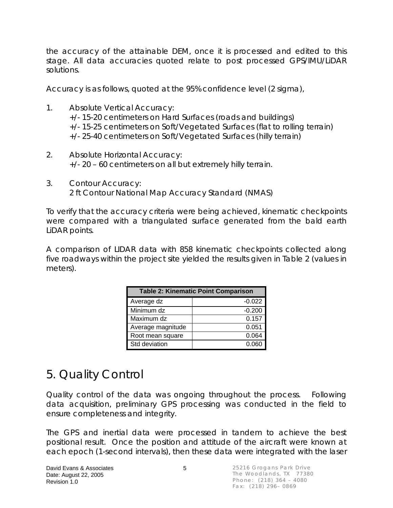the accuracy of the attainable DEM, once it is processed and edited to this stage. All data accuracies quoted relate to post processed GPS/IMU/LiDAR solutions.

Accuracy is as follows, quoted at the 95% confidence level (2 sigma),

- 1. Absolute Vertical Accuracy: +/- 15-20 centimeters on Hard Surfaces (roads and buildings) +/- 15-25 centimeters on Soft/Vegetated Surfaces (flat to rolling terrain) +/- 25-40 centimeters on Soft/Vegetated Surfaces (hilly terrain)
- 2. Absolute Horizontal Accuracy: +/- 20 – 60 centimeters on all but extremely hilly terrain.
- 3. Contour Accuracy: 2 ft Contour National Map Accuracy Standard (NMAS)

To verify that the accuracy criteria were being achieved, kinematic checkpoints were compared with a triangulated surface generated from the bald earth LiDAR points.

A comparison of LIDAR data with 858 kinematic checkpoints collected along five roadways within the project site yielded the results given in Table 2 (values in meters).

| <b>Table 2: Kinematic Point Comparison</b> |          |  |  |  |  |
|--------------------------------------------|----------|--|--|--|--|
| Average dz                                 | $-0.022$ |  |  |  |  |
| Minimum dz                                 | $-0.200$ |  |  |  |  |
| Maximum dz                                 | 0.157    |  |  |  |  |
| Average magnitude                          | 0.051    |  |  |  |  |
| Root mean square                           | 0.064    |  |  |  |  |
| Std deviation                              | 0.060    |  |  |  |  |

## 5. Quality Control

Quality control of the data was ongoing throughout the process. Following data acquisition, preliminary GPS processing was conducted in the field to ensure completeness and integrity.

The GPS and inertial data were processed in tandem to achieve the best positional result. Once the position and attitude of the aircraft were known at each epoch (1-second intervals), then these data were integrated with the laser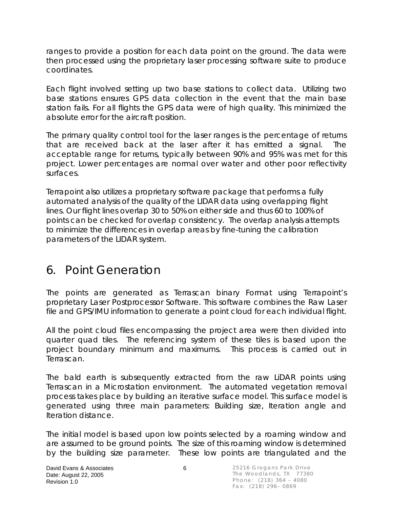ranges to provide a position for each data point on the ground. The data were then processed using the proprietary laser processing software suite to produce coordinates.

Each flight involved setting up two base stations to collect data. Utilizing two base stations ensures GPS data collection in the event that the main base station fails. For all flights the GPS data were of high quality. This minimized the absolute error for the aircraft position.

The primary quality control tool for the laser ranges is the percentage of returns that are received back at the laser after it has emitted a signal. The acceptable range for returns, typically between 90% and 95% was met for this project. Lower percentages are normal over water and other poor reflectivity surfaces.

Terrapoint also utilizes a proprietary software package that performs a fully automated analysis of the quality of the LIDAR data using overlapping flight lines. Our flight lines overlap 30 to 50% on either side and thus 60 to 100% of points can be checked for overlap consistency. The overlap analysis attempts to minimize the differences in overlap areas by fine-tuning the calibration parameters of the LIDAR system.

## 6. Point Generation

The points are generated as Terrascan binary Format using Terrapoint's proprietary Laser Postprocessor Software. This software combines the Raw Laser file and GPS/IMU information to generate a point cloud for each individual flight.

All the point cloud files encompassing the project area were then divided into quarter quad tiles. The referencing system of these tiles is based upon the project boundary minimum and maximums. This process is carried out in Terrascan.

The bald earth is subsequently extracted from the raw LiDAR points using Terrascan in a Microstation environment. The automated vegetation removal process takes place by building an iterative surface model. This surface model is generated using three main parameters: Building size, Iteration angle and Iteration distance.

The initial model is based upon low points selected by a roaming window and are assumed to be ground points. The size of this roaming window is determined by the building size parameter. These low points are triangulated and the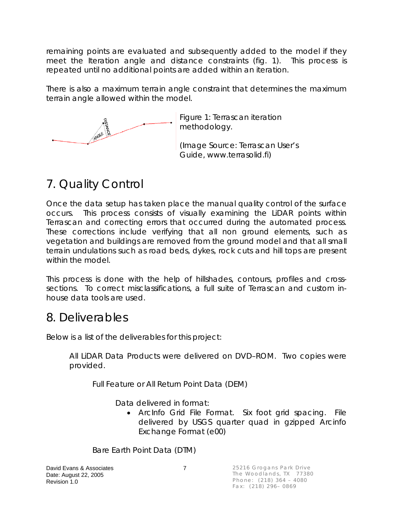remaining points are evaluated and subsequently added to the model if they meet the Iteration angle and distance constraints (fig. 1). This process is repeated until no additional points are added within an iteration.

There is also a maximum terrain angle constraint that determines the maximum terrain angle allowed within the model.



Figure 1: Terrascan iteration methodology.

(Image Source: Terrascan User's Guide, www.terrasolid.fi)

# 7. Quality Control

Once the data setup has taken place the manual quality control of the surface occurs. This process consists of visually examining the LiDAR points within Terrascan and correcting errors that occurred during the automated process. These corrections include verifying that all non ground elements, such as vegetation and buildings are removed from the ground model and that all small terrain undulations such as road beds, dykes, rock cuts and hill tops are present within the model.

This process is done with the help of hillshades, contours, profiles and crosssections. To correct misclassifications, a full suite of Terrascan and custom inhouse data tools are used.

## 8. Deliverables

Below is a list of the deliverables for this project:

All LiDAR Data Products were delivered on DVD–ROM. Two copies were provided.

Full Feature or All Return Point Data (DEM)

Data delivered in format:

• ArcInfo Grid File Format. Six foot grid spacing. File delivered by USGS quarter quad in gzipped Arcinfo Exchange Format (e00)

Bare Earth Point Data (DTM)